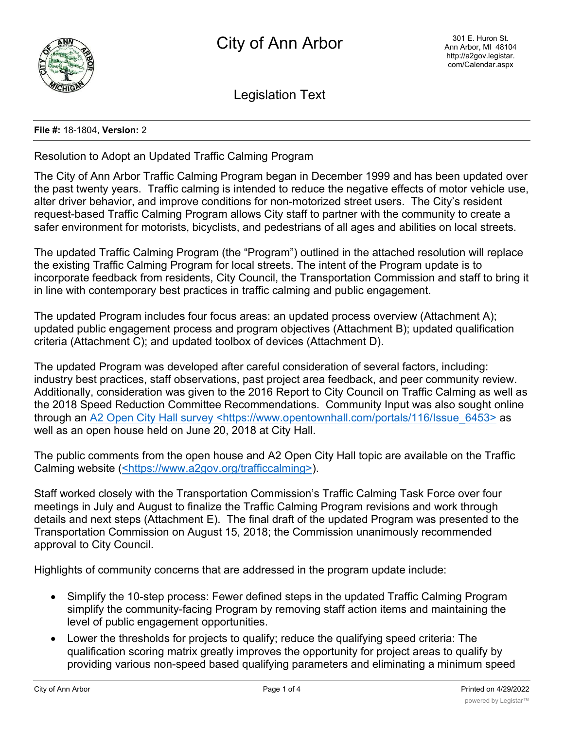

Legislation Text

## **File #:** 18-1804, **Version:** 2

Resolution to Adopt an Updated Traffic Calming Program

The City of Ann Arbor Traffic Calming Program began in December 1999 and has been updated over the past twenty years. Traffic calming is intended to reduce the negative effects of motor vehicle use, alter driver behavior, and improve conditions for non-motorized street users. The City's resident request-based Traffic Calming Program allows City staff to partner with the community to create a safer environment for motorists, bicyclists, and pedestrians of all ages and abilities on local streets.

The updated Traffic Calming Program (the "Program") outlined in the attached resolution will replace the existing Traffic Calming Program for local streets. The intent of the Program update is to incorporate feedback from residents, City Council, the Transportation Commission and staff to bring it in line with contemporary best practices in traffic calming and public engagement.

The updated Program includes four focus areas: an updated process overview (Attachment A); updated public engagement process and program objectives (Attachment B); updated qualification criteria (Attachment C); and updated toolbox of devices (Attachment D).

The updated Program was developed after careful consideration of several factors, including: industry best practices, staff observations, past project area feedback, and peer community review. Additionally, consideration was given to the 2016 Report to City Council on Traffic Calming as well as the 2018 Speed Reduction Committee Recommendations. Community Input was also sought online through an A2 Open City Hall survey <https://www.opentownhall.com/portals/116/Issue 6453> as well as an open house held on June 20, 2018 at City Hall.

The public comments from the open house and A2 Open City Hall topic are available on the Traffic Calming website (<https://www.a2gov.org/trafficcalming>).

Staff worked closely with the Transportation Commission's Traffic Calming Task Force over four meetings in July and August to finalize the Traffic Calming Program revisions and work through details and next steps (Attachment E). The final draft of the updated Program was presented to the Transportation Commission on August 15, 2018; the Commission unanimously recommended approval to City Council.

Highlights of community concerns that are addressed in the program update include:

- · Simplify the 10-step process: Fewer defined steps in the updated Traffic Calming Program simplify the community-facing Program by removing staff action items and maintaining the level of public engagement opportunities.
- Lower the thresholds for projects to qualify; reduce the qualifying speed criteria: The qualification scoring matrix greatly improves the opportunity for project areas to qualify by providing various non-speed based qualifying parameters and eliminating a minimum speed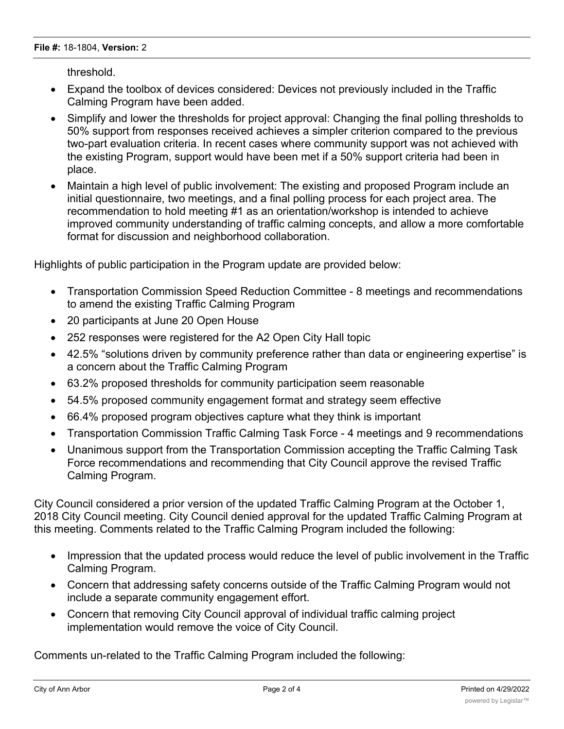threshold.

- · Expand the toolbox of devices considered: Devices not previously included in the Traffic Calming Program have been added.
- Simplify and lower the thresholds for project approval: Changing the final polling thresholds to 50% support from responses received achieves a simpler criterion compared to the previous two-part evaluation criteria. In recent cases where community support was not achieved with the existing Program, support would have been met if a 50% support criteria had been in place.
- · Maintain a high level of public involvement: The existing and proposed Program include an initial questionnaire, two meetings, and a final polling process for each project area. The recommendation to hold meeting #1 as an orientation/workshop is intended to achieve improved community understanding of traffic calming concepts, and allow a more comfortable format for discussion and neighborhood collaboration.

Highlights of public participation in the Program update are provided below:

- · Transportation Commission Speed Reduction Committee 8 meetings and recommendations to amend the existing Traffic Calming Program
- · 20 participants at June 20 Open House
- 252 responses were registered for the A2 Open City Hall topic
- · 42.5% "solutions driven by community preference rather than data or engineering expertise" is a concern about the Traffic Calming Program
- · 63.2% proposed thresholds for community participation seem reasonable
- · 54.5% proposed community engagement format and strategy seem effective
- · 66.4% proposed program objectives capture what they think is important
- · Transportation Commission Traffic Calming Task Force 4 meetings and 9 recommendations
- · Unanimous support from the Transportation Commission accepting the Traffic Calming Task Force recommendations and recommending that City Council approve the revised Traffic Calming Program.

City Council considered a prior version of the updated Traffic Calming Program at the October 1, 2018 City Council meeting. City Council denied approval for the updated Traffic Calming Program at this meeting. Comments related to the Traffic Calming Program included the following:

- · Impression that the updated process would reduce the level of public involvement in the Traffic Calming Program.
- · Concern that addressing safety concerns outside of the Traffic Calming Program would not include a separate community engagement effort.
- · Concern that removing City Council approval of individual traffic calming project implementation would remove the voice of City Council.

Comments un-related to the Traffic Calming Program included the following: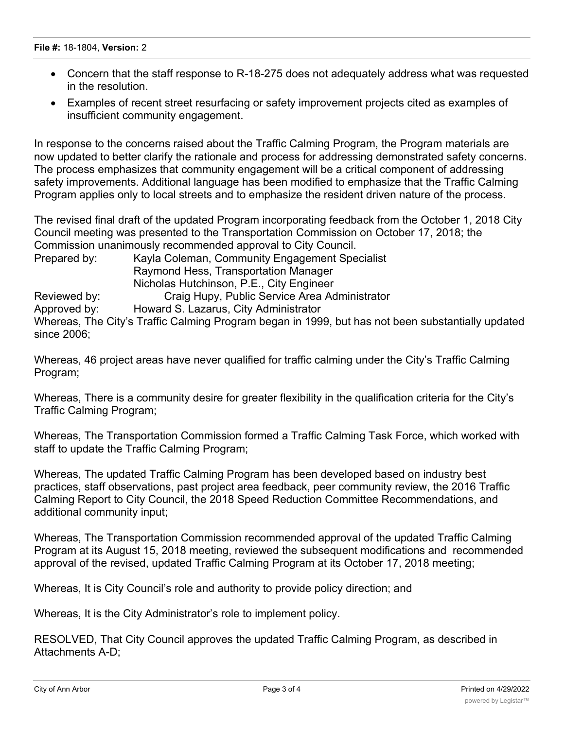- · Concern that the staff response to R-18-275 does not adequately address what was requested in the resolution.
- · Examples of recent street resurfacing or safety improvement projects cited as examples of insufficient community engagement.

In response to the concerns raised about the Traffic Calming Program, the Program materials are now updated to better clarify the rationale and process for addressing demonstrated safety concerns. The process emphasizes that community engagement will be a critical component of addressing safety improvements. Additional language has been modified to emphasize that the Traffic Calming Program applies only to local streets and to emphasize the resident driven nature of the process.

The revised final draft of the updated Program incorporating feedback from the October 1, 2018 City Council meeting was presented to the Transportation Commission on October 17, 2018; the Commission unanimously recommended approval to City Council.

Prepared by: Kayla Coleman, Community Engagement Specialist Raymond Hess, Transportation Manager Nicholas Hutchinson, P.E., City Engineer Reviewed by: Craig Hupy, Public Service Area Administrator Approved by: Howard S. Lazarus, City Administrator Whereas, The City's Traffic Calming Program began in 1999, but has not been substantially updated since 2006;

Whereas, 46 project areas have never qualified for traffic calming under the City's Traffic Calming Program;

Whereas, There is a community desire for greater flexibility in the qualification criteria for the City's Traffic Calming Program;

Whereas, The Transportation Commission formed a Traffic Calming Task Force, which worked with staff to update the Traffic Calming Program;

Whereas, The updated Traffic Calming Program has been developed based on industry best practices, staff observations, past project area feedback, peer community review, the 2016 Traffic Calming Report to City Council, the 2018 Speed Reduction Committee Recommendations, and additional community input;

Whereas, The Transportation Commission recommended approval of the updated Traffic Calming Program at its August 15, 2018 meeting, reviewed the subsequent modifications and recommended approval of the revised, updated Traffic Calming Program at its October 17, 2018 meeting;

Whereas, It is City Council's role and authority to provide policy direction; and

Whereas, It is the City Administrator's role to implement policy.

RESOLVED, That City Council approves the updated Traffic Calming Program, as described in Attachments A-D;